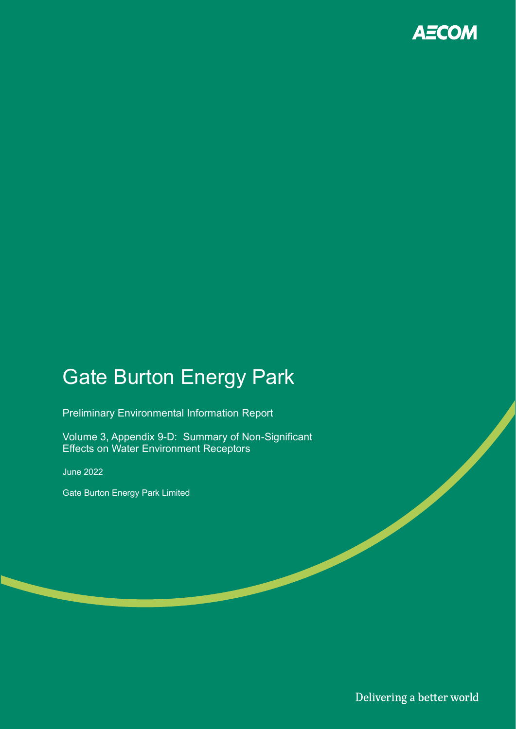

# Gate Burton Energy Park

Preliminary Environmental Information Report

Volume 3, Appendix 9-D: Summary of Non-Significant Effects on Water Environment Receptors

June 2022

Gate Burton Energy Park Limited

Delivering a better world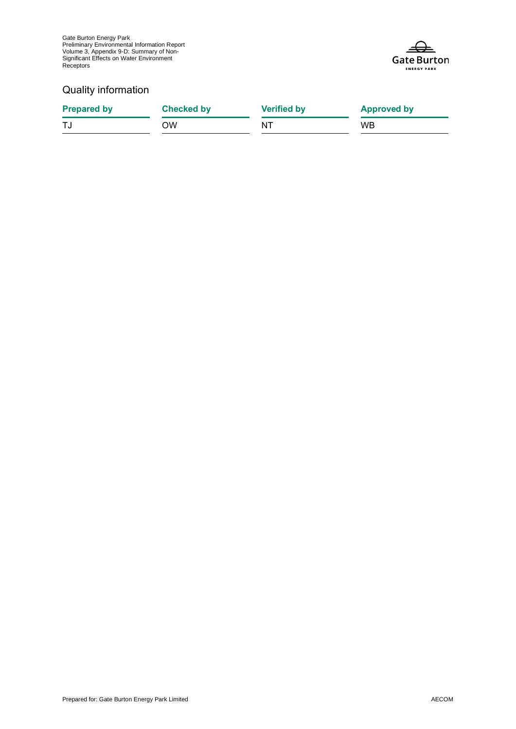Gate Burton Energy Park Preliminary Environmental Information Report Volume 3, Appendix 9-D: Summary of Non-Significant Effects on Water Environment Receptors



### Quality information

| <b>Prepared by</b> | <b>Checked by</b> | <b>Verified by</b> | <b>Approved by</b> |
|--------------------|-------------------|--------------------|--------------------|
|                    | OW                | NT                 | <b>WB</b>          |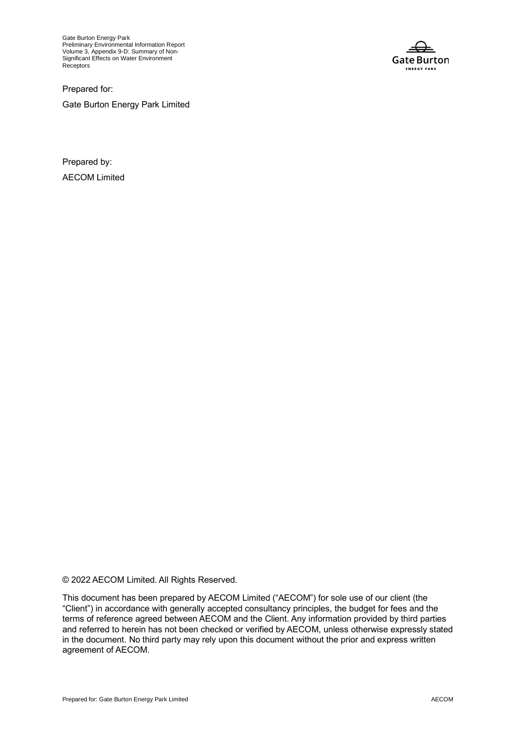Gate Burton Energy Park Preliminary Environmental Information Report Volume 3, Appendix 9-D: Summary of Non-Significant Effects on Water Environment **Receptors** 

**Gate Burton ENERGY PARK** 

Prepared for:

Gate Burton Energy Park Limited

Prepared by: AECOM Limited

© 2022 AECOM Limited. All Rights Reserved.

This document has been prepared by AECOM Limited ("AECOM") for sole use of our client (the "Client") in accordance with generally accepted consultancy principles, the budget for fees and the terms of reference agreed between AECOM and the Client. Any information provided by third parties and referred to herein has not been checked or verified by AECOM, unless otherwise expressly stated in the document. No third party may rely upon this document without the prior and express written agreement of AECOM.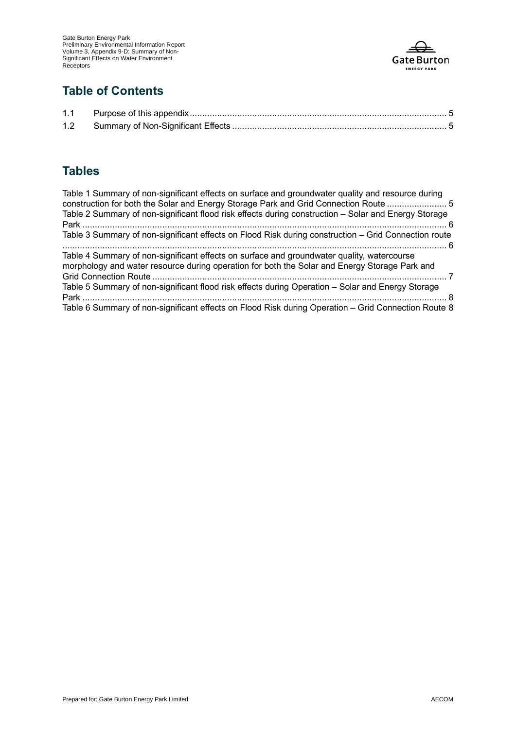

### **Table of Contents**

## **Tables**

| Table 1 Summary of non-significant effects on surface and groundwater quality and resource during<br>construction for both the Solar and Energy Storage Park and Grid Connection Route  5   |  |
|---------------------------------------------------------------------------------------------------------------------------------------------------------------------------------------------|--|
| Table 2 Summary of non-significant flood risk effects during construction – Solar and Energy Storage                                                                                        |  |
| Table 3 Summary of non-significant effects on Flood Risk during construction – Grid Connection route                                                                                        |  |
| Table 4 Summary of non-significant effects on surface and groundwater quality, watercourse<br>morphology and water resource during operation for both the Solar and Energy Storage Park and |  |
| Table 5 Summary of non-significant flood risk effects during Operation - Solar and Energy Storage                                                                                           |  |
| Table 6 Summary of non-significant effects on Flood Risk during Operation – Grid Connection Route 8                                                                                         |  |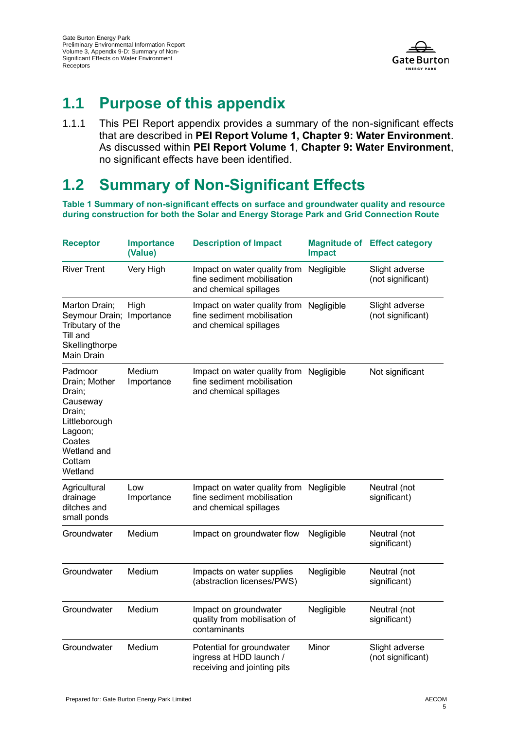

## **1.1 Purpose of this appendix**

1.1.1 This PEI Report appendix provides a summary of the non-significant effects that are described in **PEI Report Volume 1, Chapter 9: Water Environment**. As discussed within **PEI Report Volume 1**, **Chapter 9: Water Environment**, no significant effects have been identified.

## **1.2 Summary of Non-Significant Effects**

**Table 1 Summary of non-significant effects on surface and groundwater quality and resource during construction for both the Solar and Energy Storage Park and Grid Connection Route**

| <b>Receptor</b>                                                                                                                    | <b>Importance</b><br>(Value) | <b>Description of Impact</b>                                                         | <b>Impact</b> | <b>Magnitude of Effect category</b> |
|------------------------------------------------------------------------------------------------------------------------------------|------------------------------|--------------------------------------------------------------------------------------|---------------|-------------------------------------|
| <b>River Trent</b>                                                                                                                 | Very High                    | Impact on water quality from<br>fine sediment mobilisation<br>and chemical spillages | Negligible    | Slight adverse<br>(not significant) |
| Marton Drain;<br>Seymour Drain;<br>Tributary of the<br>Till and<br>Skellingthorpe<br>Main Drain                                    | High<br>Importance           | Impact on water quality from<br>fine sediment mobilisation<br>and chemical spillages | Negligible    | Slight adverse<br>(not significant) |
| Padmoor<br>Drain; Mother<br>Drain;<br>Causeway<br>Drain;<br>Littleborough<br>Lagoon;<br>Coates<br>Wetland and<br>Cottam<br>Wetland | Medium<br>Importance         | Impact on water quality from<br>fine sediment mobilisation<br>and chemical spillages | Negligible    | Not significant                     |
| Agricultural<br>drainage<br>ditches and<br>small ponds                                                                             | Low<br>Importance            | Impact on water quality from<br>fine sediment mobilisation<br>and chemical spillages | Negligible    | Neutral (not<br>significant)        |
| Groundwater                                                                                                                        | Medium                       | Impact on groundwater flow                                                           | Negligible    | Neutral (not<br>significant)        |
| Groundwater                                                                                                                        | Medium                       | Impacts on water supplies<br>(abstraction licenses/PWS)                              | Negligible    | Neutral (not<br>significant)        |
| Groundwater                                                                                                                        | Medium                       | Impact on groundwater<br>quality from mobilisation of<br>contaminants                | Negligible    | Neutral (not<br>significant)        |
| Groundwater                                                                                                                        | Medium                       | Potential for groundwater<br>ingress at HDD launch /<br>receiving and jointing pits  | Minor         | Slight adverse<br>(not significant) |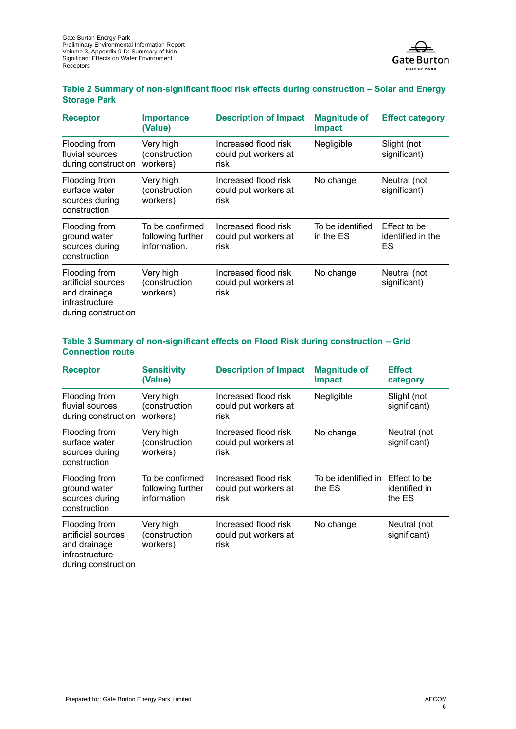

### **Table 2 Summary of non-significant flood risk effects during construction – Solar and Energy Storage Park**

| <b>Receptor</b>                                                                              | <b>Importance</b><br>(Value)                         | <b>Description of Impact</b>                          | <b>Magnitude of</b><br><b>Impact</b> | <b>Effect category</b>                  |
|----------------------------------------------------------------------------------------------|------------------------------------------------------|-------------------------------------------------------|--------------------------------------|-----------------------------------------|
| Flooding from<br>fluvial sources<br>during construction                                      | Very high<br>(construction<br>workers)               | Increased flood risk<br>could put workers at<br>risk. | Negligible                           | Slight (not<br>significant)             |
| Flooding from<br>surface water<br>sources during<br>construction                             | Very high<br>(construction<br>workers)               | Increased flood risk<br>could put workers at<br>risk  | No change                            | Neutral (not<br>significant)            |
| Flooding from<br>ground water<br>sources during<br>construction                              | To be confirmed<br>following further<br>information. | Increased flood risk<br>could put workers at<br>risk  | To be identified<br>in the ES        | Effect to be<br>identified in the<br>ES |
| Flooding from<br>artificial sources<br>and drainage<br>infrastructure<br>during construction | Very high<br>(construction<br>workers)               | Increased flood risk<br>could put workers at<br>risk  | No change                            | Neutral (not<br>significant)            |

### **Table 3 Summary of non-significant effects on Flood Risk during construction – Grid Connection route**

| <b>Receptor</b>                                                                              | <b>Sensitivity</b><br>(Value)                       | <b>Description of Impact</b>                         | <b>Magnitude of</b><br><b>Impact</b> | <b>Effect</b><br>category               |
|----------------------------------------------------------------------------------------------|-----------------------------------------------------|------------------------------------------------------|--------------------------------------|-----------------------------------------|
| Flooding from<br>fluvial sources<br>during construction                                      | Very high<br>(construction<br>workers)              | Increased flood risk<br>could put workers at<br>risk | Negligible                           | Slight (not<br>significant)             |
| Flooding from<br>surface water<br>sources during<br>construction                             | Very high<br>(construction<br>workers)              | Increased flood risk<br>could put workers at<br>risk | No change                            | Neutral (not<br>significant)            |
| Flooding from<br>ground water<br>sources during<br>construction                              | To be confirmed<br>following further<br>information | Increased flood risk<br>could put workers at<br>risk | To be identified in<br>the ES        | Effect to be<br>identified in<br>the ES |
| Flooding from<br>artificial sources<br>and drainage<br>infrastructure<br>during construction | Very high<br>(construction<br>workers)              | Increased flood risk<br>could put workers at<br>risk | No change                            | Neutral (not<br>significant)            |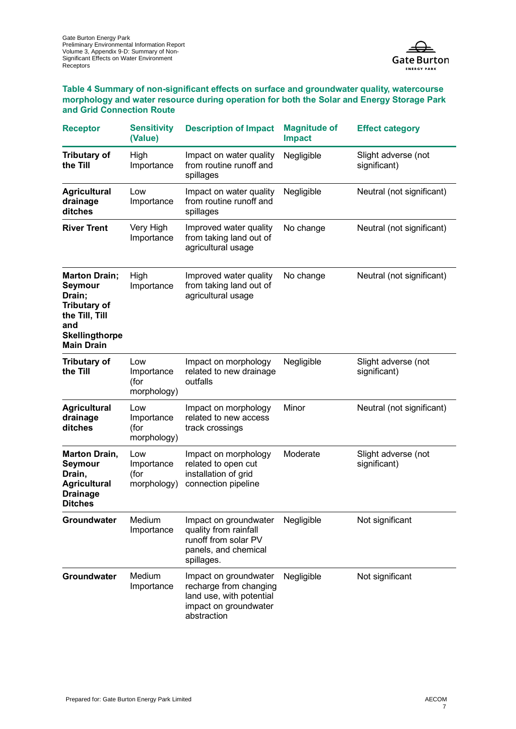

**Table 4 Summary of non-significant effects on surface and groundwater quality, watercourse morphology and water resource during operation for both the Solar and Energy Storage Park and Grid Connection Route**

| <b>Receptor</b>                                                                                                                         | <b>Sensitivity</b><br>(Value)            | <b>Description of Impact</b>                                                                                        | <b>Magnitude of</b><br><b>Impact</b> | <b>Effect category</b>              |
|-----------------------------------------------------------------------------------------------------------------------------------------|------------------------------------------|---------------------------------------------------------------------------------------------------------------------|--------------------------------------|-------------------------------------|
| <b>Tributary of</b><br>the Till                                                                                                         | High<br>Importance                       | Impact on water quality<br>from routine runoff and<br>spillages                                                     | Negligible                           | Slight adverse (not<br>significant) |
| <b>Agricultural</b><br>drainage<br>ditches                                                                                              | Low<br>Importance                        | Impact on water quality<br>from routine runoff and<br>spillages                                                     | Negligible                           | Neutral (not significant)           |
| <b>River Trent</b>                                                                                                                      | Very High<br>Importance                  | Improved water quality<br>from taking land out of<br>agricultural usage                                             | No change                            | Neutral (not significant)           |
| <b>Marton Drain;</b><br>Seymour<br>Drain;<br><b>Tributary of</b><br>the Till, Till<br>and<br><b>Skellingthorpe</b><br><b>Main Drain</b> | High<br>Importance                       | Improved water quality<br>from taking land out of<br>agricultural usage                                             | No change                            | Neutral (not significant)           |
| <b>Tributary of</b><br>the Till                                                                                                         | Low<br>Importance<br>(for<br>morphology) | Impact on morphology<br>related to new drainage<br>outfalls                                                         | Negligible                           | Slight adverse (not<br>significant) |
| <b>Agricultural</b><br>drainage<br>ditches                                                                                              | Low<br>Importance<br>(for<br>morphology) | Impact on morphology<br>related to new access<br>track crossings                                                    | Minor                                | Neutral (not significant)           |
| <b>Marton Drain,</b><br>Seymour<br>Drain,<br><b>Agricultural</b><br><b>Drainage</b><br><b>Ditches</b>                                   | Low<br>Importance<br>(for<br>morphology) | Impact on morphology<br>related to open cut<br>installation of grid<br>connection pipeline                          | Moderate                             | Slight adverse (not<br>significant) |
| Groundwater                                                                                                                             | Medium<br>Importance                     | Impact on groundwater<br>quality from rainfall<br>runoff from solar PV<br>panels, and chemical<br>spillages.        | Negligible                           | Not significant                     |
| Groundwater                                                                                                                             | Medium<br>Importance                     | Impact on groundwater<br>recharge from changing<br>land use, with potential<br>impact on groundwater<br>abstraction | Negligible                           | Not significant                     |